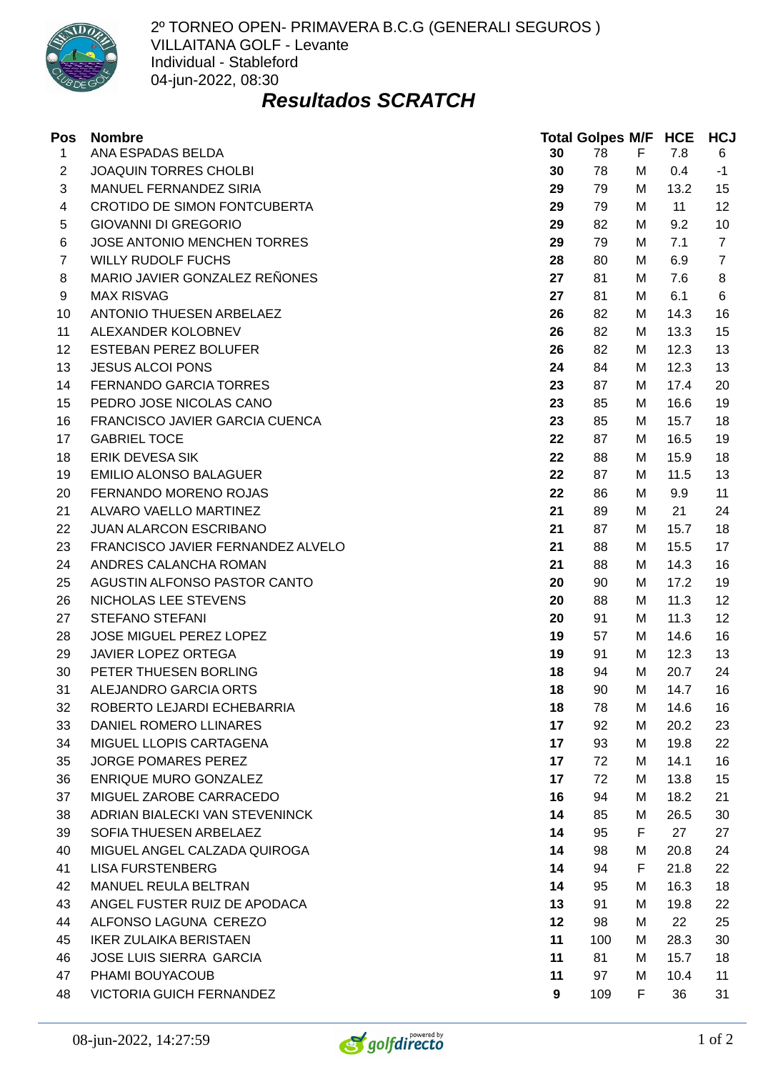

2º TORNEO OPEN- PRIMAVERA B.C.G (GENERALI SEGUROS ) VILLAITANA GOLF - Levante Individual - Stableford 04-jun-2022, 08:30

## *Resultados SCRATCH*

| Pos            | <b>Nombre</b>                     |    | <b>Total Golpes M/F HCE</b> |   |      | <b>HCJ</b>     |
|----------------|-----------------------------------|----|-----------------------------|---|------|----------------|
| $\mathbf{1}$   | ANA ESPADAS BELDA                 | 30 | 78                          | F | 7.8  | 6              |
| $\overline{c}$ | JOAQUIN TORRES CHOLBI             | 30 | 78                          | М | 0.4  | $-1$           |
| 3              | MANUEL FERNANDEZ SIRIA            | 29 | 79                          | М | 13.2 | 15             |
| 4              | CROTIDO DE SIMON FONTCUBERTA      | 29 | 79                          | М | 11   | 12             |
| 5              | <b>GIOVANNI DI GREGORIO</b>       | 29 | 82                          | М | 9.2  | 10             |
| 6              | JOSE ANTONIO MENCHEN TORRES       | 29 | 79                          | М | 7.1  | $\overline{7}$ |
| $\overline{7}$ | <b>WILLY RUDOLF FUCHS</b>         | 28 | 80                          | М | 6.9  | $\overline{7}$ |
| 8              | MARIO JAVIER GONZALEZ REÑONES     | 27 | 81                          | М | 7.6  | 8              |
| 9              | <b>MAX RISVAG</b>                 | 27 | 81                          | М | 6.1  | 6              |
| 10             | ANTONIO THUESEN ARBELAEZ          | 26 | 82                          | М | 14.3 | 16             |
| 11             | ALEXANDER KOLOBNEV                | 26 | 82                          | M | 13.3 | 15             |
| 12             | <b>ESTEBAN PEREZ BOLUFER</b>      | 26 | 82                          | М | 12.3 | 13             |
| 13             | <b>JESUS ALCOI PONS</b>           | 24 | 84                          | М | 12.3 | 13             |
| 14             | FERNANDO GARCIA TORRES            | 23 | 87                          | М | 17.4 | 20             |
| 15             | PEDRO JOSE NICOLAS CANO           | 23 | 85                          | М | 16.6 | 19             |
| 16             | FRANCISCO JAVIER GARCIA CUENCA    | 23 | 85                          | М | 15.7 | 18             |
| 17             | <b>GABRIEL TOCE</b>               | 22 | 87                          | М | 16.5 | 19             |
| 18             | <b>ERIK DEVESA SIK</b>            | 22 | 88                          | М | 15.9 | 18             |
| 19             | <b>EMILIO ALONSO BALAGUER</b>     | 22 | 87                          | М | 11.5 | 13             |
| 20             | FERNANDO MORENO ROJAS             | 22 | 86                          | М | 9.9  | 11             |
| 21             | ALVARO VAELLO MARTINEZ            | 21 | 89                          | М | 21   | 24             |
| 22             | <b>JUAN ALARCON ESCRIBANO</b>     | 21 | 87                          | М | 15.7 | 18             |
| 23             | FRANCISCO JAVIER FERNANDEZ ALVELO | 21 | 88                          | М | 15.5 | 17             |
| 24             | ANDRES CALANCHA ROMAN             | 21 | 88                          | М | 14.3 | 16             |
| 25             | AGUSTIN ALFONSO PASTOR CANTO      | 20 | 90                          | М | 17.2 | 19             |
| 26             | NICHOLAS LEE STEVENS              | 20 | 88                          | М | 11.3 | 12             |
| 27             | STEFANO STEFANI                   | 20 | 91                          | М | 11.3 | 12             |
| 28             | JOSE MIGUEL PEREZ LOPEZ           | 19 | 57                          | M | 14.6 | 16             |
| 29             | JAVIER LOPEZ ORTEGA               | 19 | 91                          | М | 12.3 | 13             |
| 30             | PETER THUESEN BORLING             | 18 | 94                          | М | 20.7 | 24             |
| 31             | ALEJANDRO GARCIA ORTS             | 18 | 90                          | M | 14.7 | 16             |
| 32             | ROBERTO LEJARDI ECHEBARRIA        | 18 | 78                          | М | 14.6 | 16             |
| 33             | DANIEL ROMERO LLINARES            | 17 | 92                          | М | 20.2 | 23             |
| 34             | MIGUEL LLOPIS CARTAGENA           | 17 | 93                          | М | 19.8 | 22             |
| 35             | JORGE POMARES PEREZ               | 17 | 72                          | М | 14.1 | 16             |
| 36             | ENRIQUE MURO GONZALEZ             | 17 | 72                          | М | 13.8 | 15             |
| 37             | MIGUEL ZAROBE CARRACEDO           | 16 | 94                          | М | 18.2 | 21             |
| 38             | ADRIAN BIALECKI VAN STEVENINCK    | 14 | 85                          | М | 26.5 | 30             |
| 39             | SOFIA THUESEN ARBELAEZ            | 14 | 95                          | F | 27   | 27             |
| 40             | MIGUEL ANGEL CALZADA QUIROGA      | 14 | 98                          | M | 20.8 | 24             |
| 41             | <b>LISA FURSTENBERG</b>           | 14 | 94                          | F | 21.8 | 22             |
| 42             | MANUEL REULA BELTRAN              | 14 | 95                          | М | 16.3 | 18             |
| 43             | ANGEL FUSTER RUIZ DE APODACA      | 13 | 91                          | М | 19.8 | 22             |
| 44             | ALFONSO LAGUNA CEREZO             | 12 | 98                          | М | 22   | 25             |
| 45             | <b>IKER ZULAIKA BERISTAEN</b>     | 11 | 100                         | М | 28.3 | 30             |
| 46             | JOSE LUIS SIERRA GARCIA           | 11 | 81                          | М | 15.7 | 18             |
| 47             | PHAMI BOUYACOUB                   | 11 | 97                          | М | 10.4 | 11             |
| 48             | VICTORIA GUICH FERNANDEZ          | 9  | 109                         | F | 36   | 31             |